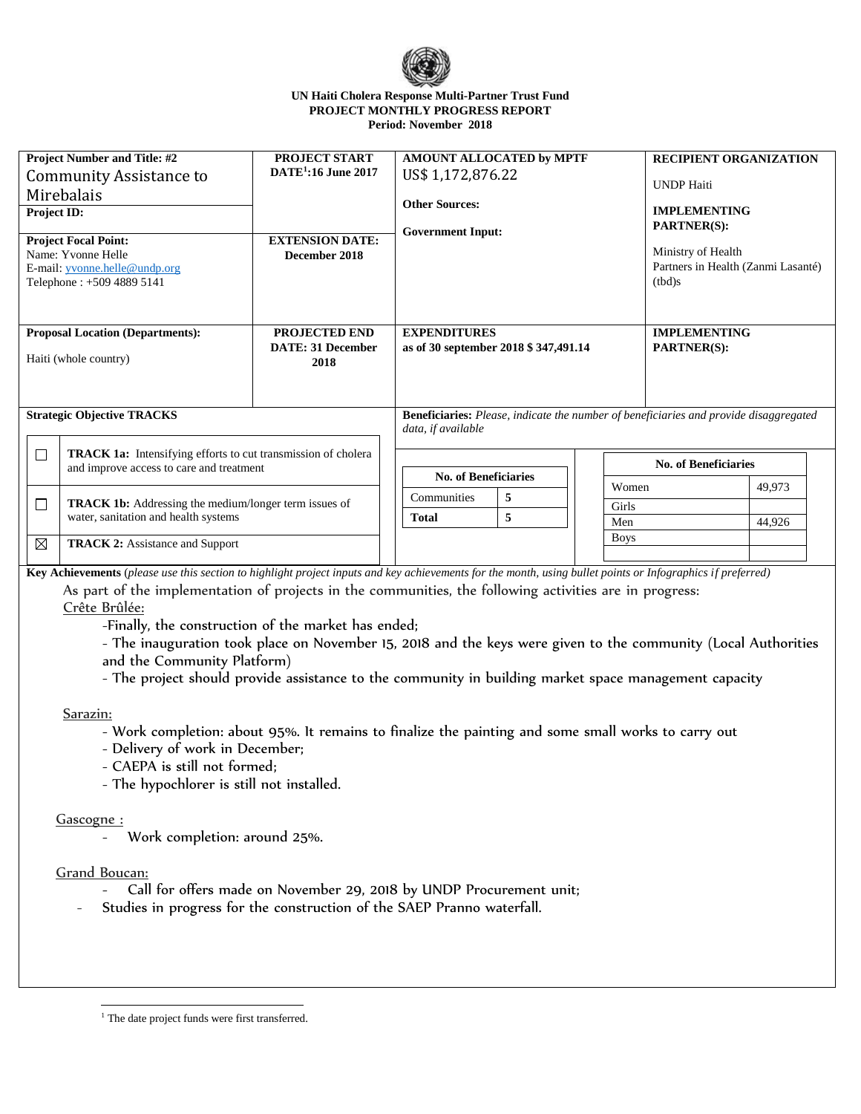

#### **UN Haiti Cholera Response Multi-Partner Trust Fund PROJECT MONTHLY PROGRESS REPORT Period: November 2018**

| <b>Project Number and Title: #2</b><br>Community Assistance to<br>Mirebalais<br><b>Project ID:</b><br><b>Project Focal Point:</b><br>Name: Yvonne Helle<br>E-mail: yvonne.helle@undp.org<br>Telephone: +509 4889 5141                        |                                        | <b>PROJECT START</b><br><b>DATE<sup>1</sup>:16 June 2017</b><br><b>EXTENSION DATE:</b><br>December 2018 | AMOUNT ALLOCATED by MPTF<br>US\$ 1,172,876.22<br><b>Other Sources:</b><br><b>Government Input:</b> |                                                                                                                                                             | <b>RECIPIENT ORGANIZATION</b><br><b>UNDP</b> Haiti<br><b>IMPLEMENTING</b><br><b>PARTNER(S):</b><br>Ministry of Health<br>Partners in Health (Zanmi Lasanté)<br>(tbd)s |  |                                           |  |  |
|----------------------------------------------------------------------------------------------------------------------------------------------------------------------------------------------------------------------------------------------|----------------------------------------|---------------------------------------------------------------------------------------------------------|----------------------------------------------------------------------------------------------------|-------------------------------------------------------------------------------------------------------------------------------------------------------------|-----------------------------------------------------------------------------------------------------------------------------------------------------------------------|--|-------------------------------------------|--|--|
| <b>Proposal Location (Departments):</b><br>Haiti (whole country)<br><b>Strategic Objective TRACKS</b>                                                                                                                                        |                                        | <b>PROJECTED END</b><br><b>DATE: 31 December</b><br>2018                                                |                                                                                                    | <b>EXPENDITURES</b><br>as of 30 september 2018 \$347,491.14<br><b>Beneficiaries:</b> Please, indicate the number of beneficiaries and provide disaggregated |                                                                                                                                                                       |  | <b>IMPLEMENTING</b><br><b>PARTNER(S):</b> |  |  |
| $\Box$<br><b>TRACK 1a:</b> Intensifying efforts to cut transmission of cholera<br>and improve access to care and treatment<br>$\Box$<br><b>TRACK 1b:</b> Addressing the medium/longer term issues of<br>water, sanitation and health systems |                                        |                                                                                                         | data, if available<br><b>No. of Beneficiaries</b><br>Communities<br>5<br>5<br><b>Total</b>         |                                                                                                                                                             | <b>No. of Beneficiaries</b><br>49,973<br>Women<br>Girls<br>Men<br>44,926                                                                                              |  |                                           |  |  |
| ⊠                                                                                                                                                                                                                                            | <b>TRACK 2:</b> Assistance and Support |                                                                                                         |                                                                                                    |                                                                                                                                                             | <b>Boys</b>                                                                                                                                                           |  |                                           |  |  |

**Key Achievements** (*please use this section to highlight project inputs and key achievements for the month, using bullet points or Infographics if preferred)*

As part of the implementation of projects in the communities, the following activities are in progress: Crête Brûlée:

-Finally, the construction of the market has ended;

- The inauguration took place on November 15, 2018 and the keys were given to the community (Local Authorities and the Community Platform)

- The project should provide assistance to the community in building market space management capacity

Sarazin:

- Work completion: about 95%. It remains to finalize the painting and some small works to carry out
- Delivery of work in December;
- CAEPA is still not formed;
- The hypochlorer is still not installed.

## Gascogne :

Work completion: around 25%.

## Grand Boucan:

 $\overline{a}$ 

- Call for offers made on November 29, 2018 by UNDP Procurement unit;
- Studies in progress for the construction of the SAEP Pranno waterfall.

<sup>&</sup>lt;sup>1</sup> The date project funds were first transferred.